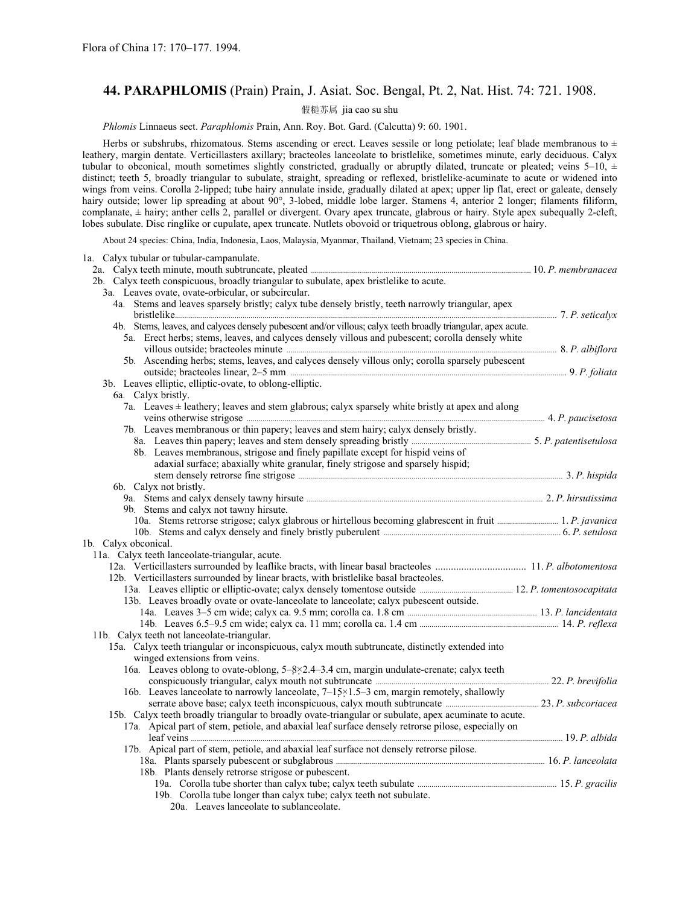# **44. PARAPHLOMIS** (Prain) Prain, J. Asiat. Soc. Bengal, Pt. 2, Nat. Hist. 74: 721. 1908.

假糙苏属 jia cao su shu

*Phlomis* Linnaeus sect. *Paraphlomis* Prain, Ann. Roy. Bot. Gard. (Calcutta) 9: 60. 1901.

Herbs or subshrubs, rhizomatous. Stems ascending or erect. Leaves sessile or long petiolate; leaf blade membranous to  $\pm$ leathery, margin dentate. Verticillasters axillary; bracteoles lanceolate to bristlelike, sometimes minute, early deciduous. Calyx tubular to obconical, mouth sometimes slightly constricted, gradually or abruptly dilated, truncate or pleated; veins  $5-10$ ,  $\pm$ distinct; teeth 5, broadly triangular to subulate, straight, spreading or reflexed, bristlelike-acuminate to acute or widened into wings from veins. Corolla 2-lipped; tube hairy annulate inside, gradually dilated at apex; upper lip flat, erect or galeate, densely hairy outside; lower lip spreading at about 90°, 3-lobed, middle lobe larger. Stamens 4, anterior 2 longer; filaments filiform, complanate, ± hairy; anther cells 2, parallel or divergent. Ovary apex truncate, glabrous or hairy. Style apex subequally 2-cleft, lobes subulate. Disc ringlike or cupulate, apex truncate. Nutlets obovoid or triquetrous oblong, glabrous or hairy.

About 24 species: China, India, Indonesia, Laos, Malaysia, Myanmar, Thailand, Vietnam; 23 species in China.

| 1a. Calyx tubular or tubular-campanulate.                                                                                                                                                                                      |  |
|--------------------------------------------------------------------------------------------------------------------------------------------------------------------------------------------------------------------------------|--|
|                                                                                                                                                                                                                                |  |
| 2b. Calyx teeth conspicuous, broadly triangular to subulate, apex bristlelike to acute.                                                                                                                                        |  |
| 3a. Leaves ovate, ovate-orbicular, or subcircular.                                                                                                                                                                             |  |
| 4a. Stems and leaves sparsely bristly; calyx tube densely bristly, teeth narrowly triangular, apex                                                                                                                             |  |
|                                                                                                                                                                                                                                |  |
| 4b. Stems, leaves, and calyces densely pubescent and/or villous; calyx teeth broadly triangular, apex acute.                                                                                                                   |  |
| 5a. Erect herbs; stems, leaves, and calvees densely villous and pubescent; corolla densely white                                                                                                                               |  |
| villous outside; bracteoles minute manufactured and contact the manufactured and the set of the set of the set of the set of the set of the set of the set of the set of the set of the set of the set of the set of the set o |  |
| 5b. Ascending herbs; stems, leaves, and calvees densely villous only; corolla sparsely pubescent                                                                                                                               |  |
| outside; bracteoles linear, 2–5 mm manufactured and all the set of the set of the set of the set of the set of the set of the set of the set of the set of the set of the set of the set of the set of the set of the set of t |  |
| 3b. Leaves elliptic, elliptic-ovate, to oblong-elliptic.                                                                                                                                                                       |  |
| 6a. Calyx bristly.                                                                                                                                                                                                             |  |
| 7a. Leaves $\pm$ leathery; leaves and stem glabrous; calyx sparsely white bristly at apex and along                                                                                                                            |  |
| veins otherwise strigose <i>manufacture in the contract of the contract of the paucisetosa</i>                                                                                                                                 |  |
| 7b. Leaves membranous or thin papery; leaves and stem hairy; calyx densely bristly.                                                                                                                                            |  |
|                                                                                                                                                                                                                                |  |
| 8b. Leaves membranous, strigose and finely papillate except for hispid veins of                                                                                                                                                |  |
| adaxial surface; abaxially white granular, finely strigose and sparsely hispid;                                                                                                                                                |  |
|                                                                                                                                                                                                                                |  |
| 6b. Calyx not bristly.                                                                                                                                                                                                         |  |
|                                                                                                                                                                                                                                |  |
| 9b. Stems and calyx not tawny hirsute.                                                                                                                                                                                         |  |
|                                                                                                                                                                                                                                |  |
|                                                                                                                                                                                                                                |  |
| 1b. Calyx obconical.                                                                                                                                                                                                           |  |
| 11a. Calyx teeth lanceolate-triangular, acute.                                                                                                                                                                                 |  |
|                                                                                                                                                                                                                                |  |
| 12b. Verticillasters surrounded by linear bracts, with bristlelike basal bracteoles.                                                                                                                                           |  |
|                                                                                                                                                                                                                                |  |
| 13b. Leaves broadly ovate or ovate-lanceolate to lanceolate; calyx pubescent outside.                                                                                                                                          |  |
|                                                                                                                                                                                                                                |  |
|                                                                                                                                                                                                                                |  |
| 11b. Calyx teeth not lanceolate-triangular.                                                                                                                                                                                    |  |
| 15a. Calyx teeth triangular or inconspicuous, calyx mouth subtruncate, distinctly extended into                                                                                                                                |  |
| winged extensions from veins.                                                                                                                                                                                                  |  |
| 16a. Leaves oblong to ovate-oblong, $5-\frac{8}{2}.2.4-3.4$ cm, margin undulate-crenate; calyx teeth                                                                                                                           |  |
| conspicuously triangular, calyx mouth not subtruncate manufactured and the 22. P. brevifolia                                                                                                                                   |  |
| 16b. Leaves lanceolate to narrowly lanceolate, 7–15×1.5–3 cm, margin remotely, shallowly                                                                                                                                       |  |
|                                                                                                                                                                                                                                |  |
| 15b. Calyx teeth broadly triangular to broadly ovate-triangular or subulate, apex acuminate to acute.                                                                                                                          |  |
| 17a. Apical part of stem, petiole, and abaxial leaf surface densely retrorse pilose, especially on                                                                                                                             |  |
|                                                                                                                                                                                                                                |  |
| 17b. Apical part of stem, petiole, and abaxial leaf surface not densely retrorse pilose.                                                                                                                                       |  |
| 18a. Plants sparsely pubescent or subglabrous <i>manufacture manufacture manufacture 16.P. lanceolata</i>                                                                                                                      |  |
| 18b. Plants densely retrorse strigose or pubescent.                                                                                                                                                                            |  |
|                                                                                                                                                                                                                                |  |
| 19b. Corolla tube longer than calyx tube; calyx teeth not subulate.                                                                                                                                                            |  |
|                                                                                                                                                                                                                                |  |

20a. Leaves lanceolate to sublanceolate.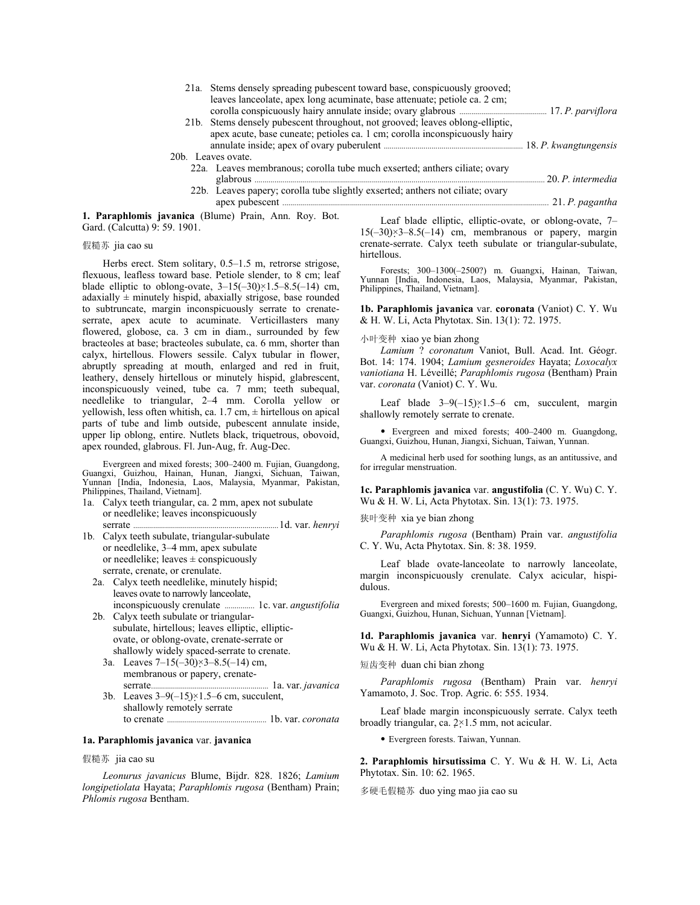| 21a. Stems densely spreading pubescent toward base, conspicuously grooved;     |                   |
|--------------------------------------------------------------------------------|-------------------|
| leaves lanceolate, apex long acuminate, base attenuate; petiole ca. 2 cm;      |                   |
|                                                                                |                   |
| 21b. Stems densely pubescent throughout, not grooved; leaves oblong-elliptic,  |                   |
| apex acute, base cuneate; petioles ca. 1 cm; corolla inconspicuously hairy     |                   |
|                                                                                |                   |
| 20b. Leaves ovate.                                                             |                   |
| 22a. Leaves membranous; corolla tube much exserted; anthers ciliate; ovary     |                   |
|                                                                                | 20. P. intermedia |
| 22b. Leaves papery; corolla tube slightly exserted; anthers not ciliate; ovary |                   |
|                                                                                | 21. P. pagantha   |

**1. Paraphlomis javanica** (Blume) Prain, Ann. Roy. Bot. Gard. (Calcutta) 9: 59. 1901.

### 假糙苏 jia cao su

Herbs erect. Stem solitary, 0.5–1.5 m, retrorse strigose, flexuous, leafless toward base. Petiole slender, to 8 cm; leaf blade elliptic to oblong-ovate,  $3-15(-30) \times 1.5-8.5(-14)$  cm, adaxially  $\pm$  minutely hispid, abaxially strigose, base rounded to subtruncate, margin inconspicuously serrate to crenateserrate, apex acute to acuminate. Verticillasters many flowered, globose, ca. 3 cm in diam., surrounded by few bracteoles at base; bracteoles subulate, ca. 6 mm, shorter than calyx, hirtellous. Flowers sessile. Calyx tubular in flower, abruptly spreading at mouth, enlarged and red in fruit, leathery, densely hirtellous or minutely hispid, glabrescent, inconspicuously veined, tube ca. 7 mm; teeth subequal, needlelike to triangular, 2–4 mm. Corolla yellow or yellowish, less often whitish, ca.  $1.7 \text{ cm}$ ,  $\pm$  hirtellous on apical parts of tube and limb outside, pubescent annulate inside, upper lip oblong, entire. Nutlets black, triquetrous, obovoid, apex rounded, glabrous. Fl. Jun-Aug, fr. Aug-Dec.

Evergreen and mixed forests; 300–2400 m. Fujian, Guangdong, Guangxi, Guizhou, Hainan, Hunan, Jiangxi, Sichuan, Taiwan, Yunnan [India, Indonesia, Laos, Malaysia, Myanmar, Pakistan, Philippines, Thailand, Vietnam].

- 1a. Calyx teeth triangular, ca. 2 mm, apex not subulate or needlelike; leaves inconspicuously
- serrate .........................................................................1d. var. *henryi* 1b. Calyx teeth subulate, triangular-subulate or needlelike, 3–4 mm, apex subulate or needlelike; leaves  $\pm$  conspicuously serrate, crenate, or crenulate.
	- 2a. Calyx teeth needlelike, minutely hispid; leaves ovate to narrowly lanceolate, inconspicuously crenulate ............... 1c. var. *angustifolia*
	- 2b. Calyx teeth subulate or triangular subulate, hirtellous; leaves elliptic, ellipticovate, or oblong-ovate, crenate-serrate or
		- shallowly widely spaced-serrate to crenate. 3a. Leaves  $7-15(-30) \times 3-8.5(-14)$  cm,
		- membranous or papery, crenate serrate........................................................... 1a. var. *javanica* 3b. Leaves  $3-9(-15) \times 1.5-6$  cm, succulent, shallowly remotely serrate

to crenate .................................................. 1b. var. *coronata*

# **1a. Paraphlomis javanica** var. **javanica**

假糙苏 jia cao su

*Leonurus javanicus* Blume, Bijdr. 828. 1826; *Lamium longipetiolata* Hayata; *Paraphlomis rugosa* (Bentham) Prain; *Phlomis rugosa* Bentham.

Leaf blade elliptic, elliptic-ovate, or oblong-ovate, 7–  $15(-30) \times 3-8.5(-14)$  cm, membranous or papery, margin crenate-serrate. Calyx teeth subulate or triangular-subulate, hirtellous.

Forests; 300–1300(–2500?) m. Guangxi, Hainan, Taiwan, Yunnan [India, Indonesia, Laos, Malaysia, Myanmar, Pakistan, Philippines, Thailand, Vietnam].

**1b. Paraphlomis javanica** var. **coronata** (Vaniot) C. Y. Wu & H. W. Li, Acta Phytotax. Sin. 13(1): 72. 1975.

# 小叶变种 xiao ye bian zhong

*Lamium* ? *coronatum* Vaniot, Bull. Acad. Int. Géogr. Bot. 14: 174. 1904; *Lamium gesneroides* Hayata; *Loxocalyx vaniotiana* H. Léveillé; *Paraphlomis rugosa* (Bentham) Prain var. *coronata* (Vaniot) C. Y. Wu.

Leaf blade  $3-9(-15) \times 1.5-6$  cm, succulent, margin shallowly remotely serrate to crenate.

• Evergreen and mixed forests; 400–2400 m. Guangdong, Guangxi, Guizhou, Hunan, Jiangxi, Sichuan, Taiwan, Yunnan.

A medicinal herb used for soothing lungs, as an antitussive, and for irregular menstruation.

**1c. Paraphlomis javanica** var. **angustifolia** (C. Y. Wu) C. Y. Wu & H. W. Li, Acta Phytotax. Sin. 13(1): 73. 1975.

### 狭叶变种 xia ye bian zhong

*Paraphlomis rugosa* (Bentham) Prain var. *angustifolia* C. Y. Wu, Acta Phytotax. Sin. 8: 38. 1959.

Leaf blade ovate-lanceolate to narrowly lanceolate, margin inconspicuously crenulate. Calyx acicular, hispidulous.

Evergreen and mixed forests; 500–1600 m. Fujian, Guangdong, Guangxi, Guizhou, Hunan, Sichuan, Yunnan [Vietnam].

**1d. Paraphlomis javanica** var. **henryi** (Yamamoto) C. Y. Wu & H. W. Li, Acta Phytotax. Sin. 13(1): 73. 1975.

#### 短齿变种 duan chi bian zhong

*Paraphlomis rugosa* (Bentham) Prain var. *henryi* Yamamoto, J. Soc. Trop. Agric. 6: 555. 1934.

Leaf blade margin inconspicuously serrate. Calyx teeth broadly triangular, ca. 2×1.5 mm, not acicular.

• Evergreen forests. Taiwan, Yunnan.

**2. Paraphlomis hirsutissima** C. Y. Wu & H. W. Li, Acta Phytotax. Sin. 10: 62. 1965.

多硬毛假糙苏 duo ying mao jia cao su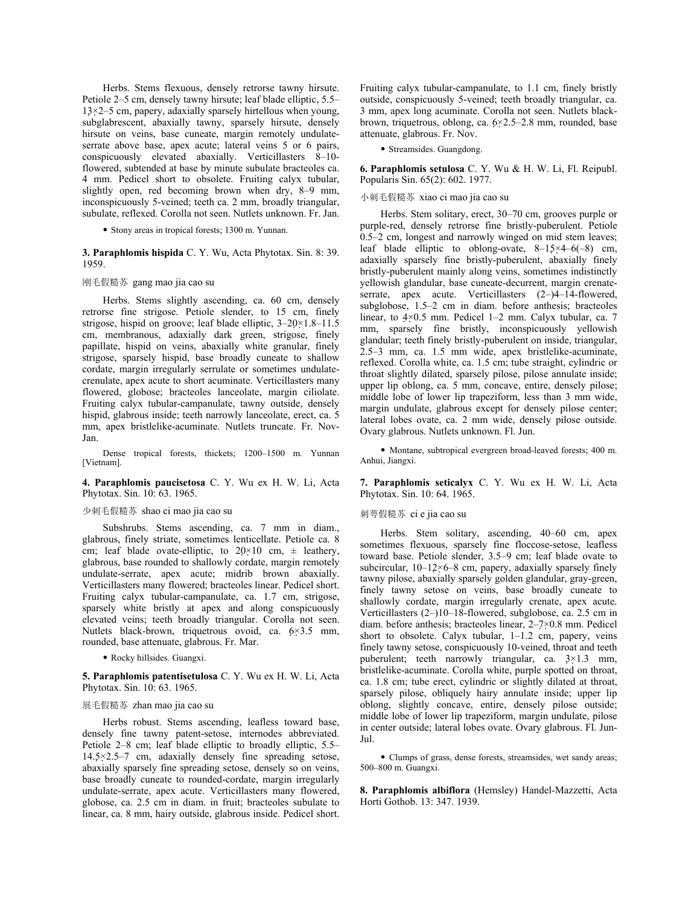Herbs. Stems flexuous, densely retrorse tawny hirsute. Petiole 2–5 cm, densely tawny hirsute; leaf blade elliptic, 5.5–  $13\times2-5$  cm, papery, adaxially sparsely hirtellous when young, subglabrescent, abaxially tawny, sparsely hirsute, densely hirsute on veins, base cuneate, margin remotely undulateserrate above base, apex acute; lateral veins 5 or 6 pairs, conspicuously elevated abaxially. Verticillasters 8–10 flowered, subtended at base by minute subulate bracteoles ca. 4 mm. Pedicel short to obsolete. Fruiting calyx tubular, slightly open, red becoming brown when dry, 8–9 mm, inconspicuously 5-veined; teeth ca. 2 mm, broadly triangular, subulate, reflexed. Corolla not seen. Nutlets unknown. Fr. Jan.

• Stony areas in tropical forests; 1300 m. Yunnan.

**3. Paraphlomis hispida** C. Y. Wu, Acta Phytotax. Sin. 8: 39. 1959.

# 刚毛假糙苏 gang mao jia cao su

Herbs. Stems slightly ascending, ca. 60 cm, densely retrorse fine strigose. Petiole slender, to 15 cm, finely strigose, hispid on groove; leaf blade elliptic, 3–20×1.8–11.5 cm, membranous, adaxially dark green, strigose, finely papillate, hispid on veins, abaxially white granular, finely strigose, sparsely hispid, base broadly cuneate to shallow cordate, margin irregularly serrulate or sometimes undulatecrenulate, apex acute to short acuminate. Verticillasters many flowered, globose; bracteoles lanceolate, margin ciliolate. Fruiting calyx tubular-campanulate, tawny outside, densely hispid, glabrous inside; teeth narrowly lanceolate, erect, ca. 5 mm, apex bristlelike-acuminate. Nutlets truncate. Fr. Nov-Jan.

Dense tropical forests, thickets; 1200–1500 m. Yunnan [Vietnam].

**4. Paraphlomis paucisetosa** C. Y. Wu ex H. W. Li, Acta Phytotax. Sin. 10: 63. 1965.

## 少刺毛假糙苏 shao ci mao jia cao su

Subshrubs. Stems ascending, ca. 7 mm in diam., glabrous, finely striate, sometimes lenticellate. Petiole ca. 8 cm; leaf blade ovate-elliptic, to  $20 \times 10$  cm,  $\pm$  leathery, glabrous, base rounded to shallowly cordate, margin remotely undulate-serrate, apex acute; midrib brown abaxially. Verticillasters many flowered; bracteoles linear. Pedicel short. Fruiting calyx tubular-campanulate, ca. 1.7 cm, strigose, sparsely white bristly at apex and along conspicuously elevated veins; teeth broadly triangular. Corolla not seen. Nutlets black-brown, triquetrous ovoid, ca. 6×3.5 mm, rounded, base attenuate, glabrous. Fr. Mar.

• Rocky hillsides. Guangxi.

**5. Paraphlomis patentisetulosa** C. Y. Wu ex H. W. Li, Acta Phytotax. Sin. 10: 63. 1965.

#### 展毛假糙苏 zhan mao jia cao su

Herbs robust. Stems ascending, leafless toward base, densely fine tawny patent-setose, internodes abbreviated. Petiole 2–8 cm; leaf blade elliptic to broadly elliptic, 5.5– 14.5×2.5–7 cm, adaxially densely fine spreading setose, abaxially sparsely fine spreading setose, densely so on veins, base broadly cuneate to rounded-cordate, margin irregularly undulate-serrate, apex acute. Verticillasters many flowered, globose, ca. 2.5 cm in diam. in fruit; bracteoles subulate to linear, ca. 8 mm, hairy outside, glabrous inside. Pedicel short.

Fruiting calyx tubular-campanulate, to 1.1 cm, finely bristly outside, conspicuously 5-veined; teeth broadly triangular, ca. 3 mm, apex long acuminate. Corolla not seen. Nutlets blackbrown, triquetrous, oblong, ca. 6×2.5–2.8 mm, rounded, base attenuate, glabrous. Fr. Nov.

# • Streamsides. Guangdong.

**6. Paraphlomis setulosa** C. Y. Wu & H. W. Li, Fl. Reipubl. Popularis Sin. 65(2): 602. 1977.

# 小刺毛假糙苏 xiao ci mao jia cao su

Herbs. Stem solitary, erect, 30–70 cm, grooves purple or purple-red, densely retrorse fine bristly-puberulent. Petiole 0.5–2 cm, longest and narrowly winged on mid stem leaves; leaf blade elliptic to oblong-ovate, 8–15×4–6(–8) cm, adaxially sparsely fine bristly-puberulent, abaxially finely bristly-puberulent mainly along veins, sometimes indistinctly yellowish glandular, base cuneate-decurrent, margin crenateserrate, apex acute. Verticillasters (2–)4–14-flowered, subglobose, 1.5–2 cm in diam. before anthesis; bracteoles linear, to  $4\times0.5$  mm. Pedicel 1–2 mm. Calyx tubular, ca. 7 mm, sparsely fine bristly, inconspicuously yellowish glandular; teeth finely bristly-puberulent on inside, triangular, 2.5–3 mm, ca. 1.5 mm wide, apex bristlelike-acuminate, reflexed. Corolla white, ca. 1.5 cm; tube straight, cylindric or throat slightly dilated, sparsely pilose, pilose annulate inside; upper lip oblong, ca. 5 mm, concave, entire, densely pilose; middle lobe of lower lip trapeziform, less than 3 mm wide, margin undulate, glabrous except for densely pilose center; lateral lobes ovate, ca. 2 mm wide, densely pilose outside. Ovary glabrous. Nutlets unknown. Fl. Jun.

• Montane, subtropical evergreen broad-leaved forests; 400 m. Anhui, Jiangxi.

**7. Paraphlomis seticalyx** C. Y. Wu ex H. W. Li, Acta Phytotax. Sin. 10: 64. 1965.

## 刺萼假糙苏 ci e jia cao su

Herbs. Stem solitary, ascending, 40–60 cm, apex sometimes flexuous, sparsely fine floccose-setose, leafless toward base. Petiole slender, 3.5–9 cm; leaf blade ovate to subcircular,  $10-12\times6-8$  cm, papery, adaxially sparsely finely tawny pilose, abaxially sparsely golden glandular, gray-green, finely tawny setose on veins, base broadly cuneate to shallowly cordate, margin irregularly crenate, apex acute. Verticillasters (2–)10–18-flowered, subglobose, ca. 2.5 cm in diam. before anthesis; bracteoles linear, 2–7×0.8 mm. Pedicel short to obsolete. Calyx tubular, 1–1.2 cm, papery, veins finely tawny setose, conspicuously 10-veined, throat and teeth puberulent; teeth narrowly triangular, ca. 3×1.3 mm, bristlelike-acuminate. Corolla white, purple spotted on throat, ca. 1.8 cm; tube erect, cylindric or slightly dilated at throat, sparsely pilose, obliquely hairy annulate inside; upper lip oblong, slightly concave, entire, densely pilose outside; middle lobe of lower lip trapeziform, margin undulate, pilose in center outside; lateral lobes ovate. Ovary glabrous. Fl. Jun-Jul.

• Clumps of grass, dense forests, streamsides, wet sandy areas; 500–800 m. Guangxi.

**8. Paraphlomis albiflora** (Hemsley) Handel-Mazzetti, Acta Horti Gothob. 13: 347. 1939.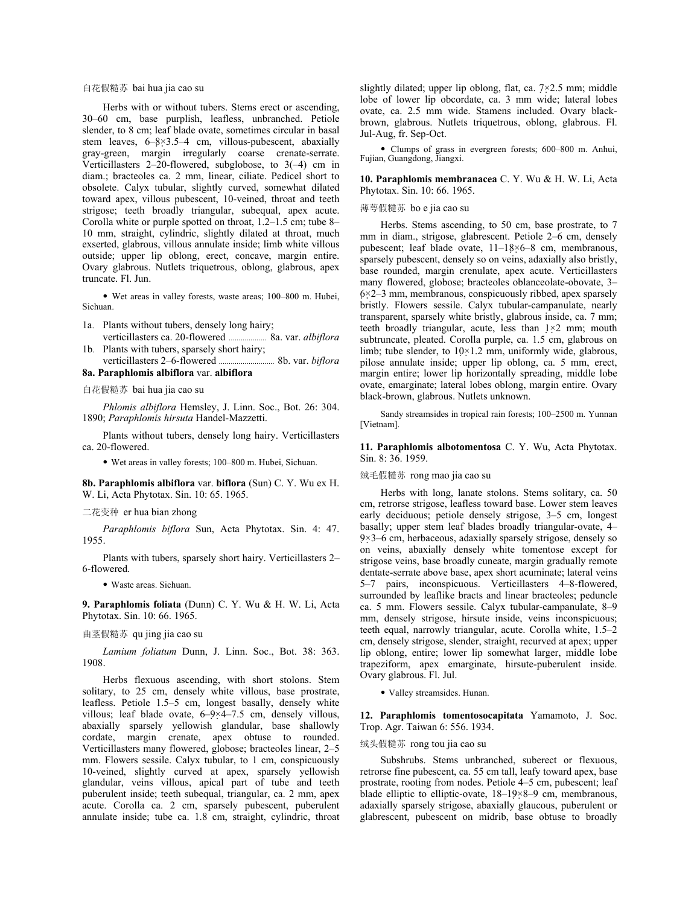白花假糙苏 bai hua jia cao su

Herbs with or without tubers. Stems erect or ascending, 30–60 cm, base purplish, leafless, unbranched. Petiole slender, to 8 cm; leaf blade ovate, sometimes circular in basal stem leaves, 6–8×3.5–4 cm, villous-pubescent, abaxially gray-green, margin irregularly coarse crenate-serrate. Verticillasters 2–20-flowered, subglobose, to 3(–4) cm in diam.; bracteoles ca. 2 mm, linear, ciliate. Pedicel short to obsolete. Calyx tubular, slightly curved, somewhat dilated toward apex, villous pubescent, 10-veined, throat and teeth strigose; teeth broadly triangular, subequal, apex acute. Corolla white or purple spotted on throat, 1.2–1.5 cm; tube 8– 10 mm, straight, cylindric, slightly dilated at throat, much exserted, glabrous, villous annulate inside; limb white villous outside; upper lip oblong, erect, concave, margin entire. Ovary glabrous. Nutlets triquetrous, oblong, glabrous, apex truncate. Fl. Jun.

• Wet areas in valley forests, waste areas; 100–800 m. Hubei, Sichuan.

- 1a. Plants without tubers, densely long hairy;
- verticillasters ca. 20-flowered ................... 8a. var. *albiflora* 1b. Plants with tubers, sparsely short hairy;

 verticillasters 2–6-flowered ............................ 8b. var. *biflora* **8a. Paraphlomis albiflora** var. **albiflora**

白花假糙苏 bai hua jia cao su

*Phlomis albiflora* Hemsley, J. Linn. Soc., Bot. 26: 304. 1890; *Paraphlomis hirsuta* Handel-Mazzetti.

Plants without tubers, densely long hairy. Verticillasters ca. 20-flowered.

• Wet areas in valley forests; 100–800 m. Hubei, Sichuan.

**8b. Paraphlomis albiflora** var. **biflora** (Sun) C. Y. Wu ex H. W. Li, Acta Phytotax. Sin. 10: 65. 1965.

#### 二花变种 er hua bian zhong

*Paraphlomis biflora* Sun, Acta Phytotax. Sin. 4: 47. 1955.

Plants with tubers, sparsely short hairy. Verticillasters 2– 6-flowered.

• Waste areas. Sichuan.

**9. Paraphlomis foliata** (Dunn) C. Y. Wu & H. W. Li, Acta Phytotax. Sin. 10: 66. 1965.

# 曲茎假糙苏 qu jing jia cao su

*Lamium foliatum* Dunn, J. Linn. Soc., Bot. 38: 363. 1908.

Herbs flexuous ascending, with short stolons. Stem solitary, to 25 cm, densely white villous, base prostrate, leafless. Petiole 1.5–5 cm, longest basally, densely white villous; leaf blade ovate, 6–9×4–7.5 cm, densely villous, abaxially sparsely yellowish glandular, base shallowly cordate, margin crenate, apex obtuse to rounded. Verticillasters many flowered, globose; bracteoles linear, 2–5 mm. Flowers sessile. Calyx tubular, to 1 cm, conspicuously 10-veined, slightly curved at apex, sparsely yellowish glandular, veins villous, apical part of tube and teeth puberulent inside; teeth subequal, triangular, ca. 2 mm, apex acute. Corolla ca. 2 cm, sparsely pubescent, puberulent annulate inside; tube ca. 1.8 cm, straight, cylindric, throat

slightly dilated; upper lip oblong, flat, ca. 7×2.5 mm; middle lobe of lower lip obcordate, ca. 3 mm wide; lateral lobes ovate, ca. 2.5 mm wide. Stamens included. Ovary blackbrown, glabrous. Nutlets triquetrous, oblong, glabrous. Fl. Jul-Aug, fr. Sep-Oct.

• Clumps of grass in evergreen forests; 600–800 m. Anhui, Fujian, Guangdong, Jiangxi.

**10. Paraphlomis membranacea** C. Y. Wu & H. W. Li, Acta Phytotax. Sin. 10: 66. 1965.

# 薄萼假糙苏 bo e jia cao su

Herbs. Stems ascending, to 50 cm, base prostrate, to 7 mm in diam., strigose, glabrescent. Petiole 2–6 cm, densely pubescent; leaf blade ovate, 11–18×6–8 cm, membranous, sparsely pubescent, densely so on veins, adaxially also bristly, base rounded, margin crenulate, apex acute. Verticillasters many flowered, globose; bracteoles oblanceolate-obovate, 3– 6×2–3 mm, membranous, conspicuously ribbed, apex sparsely bristly. Flowers sessile. Calyx tubular-campanulate, nearly transparent, sparsely white bristly, glabrous inside, ca. 7 mm; teeth broadly triangular, acute, less than  $1\times2$  mm; mouth subtruncate, pleated. Corolla purple, ca. 1.5 cm, glabrous on limb; tube slender, to 10×1.2 mm, uniformly wide, glabrous, pilose annulate inside; upper lip oblong, ca. 5 mm, erect, margin entire; lower lip horizontally spreading, middle lobe ovate, emarginate; lateral lobes oblong, margin entire. Ovary black-brown, glabrous. Nutlets unknown.

Sandy streamsides in tropical rain forests; 100–2500 m. Yunnan [Vietnam].

**11. Paraphlomis albotomentosa** C. Y. Wu, Acta Phytotax. Sin. 8: 36. 1959.

### 绒毛假糙苏 rong mao jia cao su

Herbs with long, lanate stolons. Stems solitary, ca. 50 cm, retrorse strigose, leafless toward base. Lower stem leaves early deciduous; petiole densely strigose, 3–5 cm, longest basally; upper stem leaf blades broadly triangular-ovate, 4– 9×3–6 cm, herbaceous, adaxially sparsely strigose, densely so on veins, abaxially densely white tomentose except for strigose veins, base broadly cuneate, margin gradually remote dentate-serrate above base, apex short acuminate; lateral veins 5–7 pairs, inconspicuous. Verticillasters 4–8-flowered, surrounded by leaflike bracts and linear bracteoles; peduncle ca. 5 mm. Flowers sessile. Calyx tubular-campanulate, 8–9 mm, densely strigose, hirsute inside, veins inconspicuous; teeth equal, narrowly triangular, acute. Corolla white, 1.5–2 cm, densely strigose, slender, straight, recurved at apex; upper lip oblong, entire; lower lip somewhat larger, middle lobe trapeziform, apex emarginate, hirsute-puberulent inside. Ovary glabrous. Fl. Jul.

• Valley streamsides. Hunan.

**12. Paraphlomis tomentosocapitata** Yamamoto, J. Soc. Trop. Agr. Taiwan 6: 556. 1934.

### 绒头假糙苏 rong tou jia cao su

Subshrubs. Stems unbranched, suberect or flexuous, retrorse fine pubescent, ca. 55 cm tall, leafy toward apex, base prostrate, rooting from nodes. Petiole 4–5 cm, pubescent; leaf blade elliptic to elliptic-ovate, 18–19×8–9 cm, membranous, adaxially sparsely strigose, abaxially glaucous, puberulent or glabrescent, pubescent on midrib, base obtuse to broadly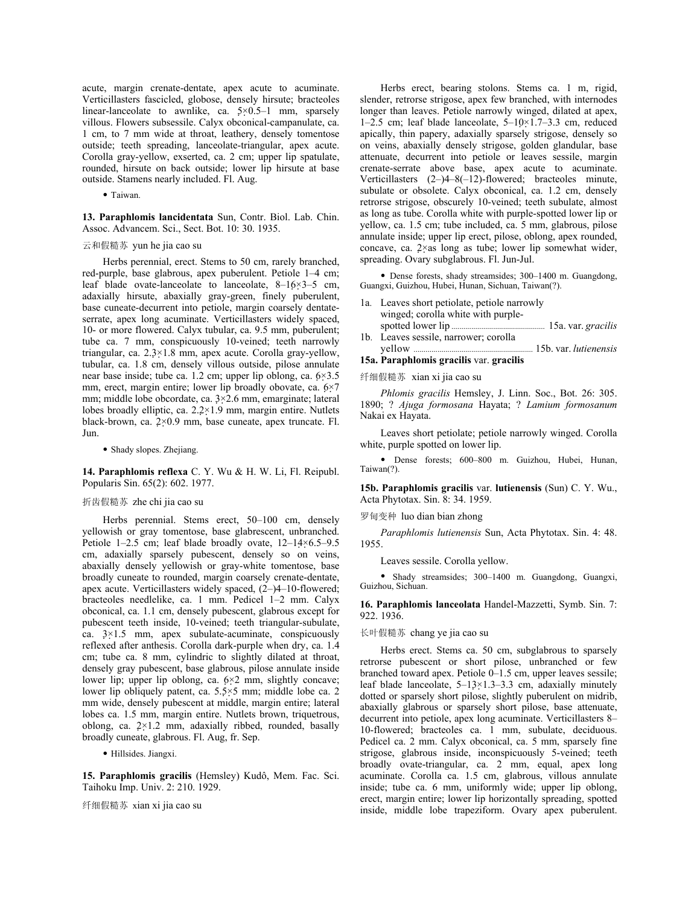acute, margin crenate-dentate, apex acute to acuminate. Verticillasters fascicled, globose, densely hirsute; bracteoles linear-lanceolate to awnlike, ca. 5×0.5–1 mm, sparsely villous. Flowers subsessile. Calyx obconical-campanulate, ca. 1 cm, to 7 mm wide at throat, leathery, densely tomentose outside; teeth spreading, lanceolate-triangular, apex acute. Corolla gray-yellow, exserted, ca. 2 cm; upper lip spatulate, rounded, hirsute on back outside; lower lip hirsute at base outside. Stamens nearly included. Fl. Aug.

• Taiwan.

**13. Paraphlomis lancidentata** Sun, Contr. Biol. Lab. Chin. Assoc. Advancem. Sci., Sect. Bot. 10: 30. 1935.

### 云和假糙苏 yun he jia cao su

Herbs perennial, erect. Stems to 50 cm, rarely branched, red-purple, base glabrous, apex puberulent. Petiole 1–4 cm; leaf blade ovate-lanceolate to lanceolate, 8–16×3–5 cm, adaxially hirsute, abaxially gray-green, finely puberulent, base cuneate-decurrent into petiole, margin coarsely dentateserrate, apex long acuminate. Verticillasters widely spaced, 10- or more flowered. Calyx tubular, ca. 9.5 mm, puberulent; tube ca. 7 mm, conspicuously 10-veined; teeth narrowly triangular, ca. 2.3×1.8 mm, apex acute. Corolla gray-yellow, tubular, ca. 1.8 cm, densely villous outside, pilose annulate near base inside; tube ca. 1.2 cm; upper lip oblong, ca. 6×3.5 mm, erect, margin entire; lower lip broadly obovate, ca. 6×7 mm; middle lobe obcordate, ca. 3×2.6 mm, emarginate; lateral lobes broadly elliptic, ca. 2.2×1.9 mm, margin entire. Nutlets black-brown, ca. 2×0.9 mm, base cuneate, apex truncate. Fl. Jun.

• Shady slopes. Zhejiang.

**14. Paraphlomis reflexa** C. Y. Wu & H. W. Li, Fl. Reipubl. Popularis Sin. 65(2): 602. 1977.

# 折齿假糙苏 zhe chi jia cao su

Herbs perennial. Stems erect, 50–100 cm, densely yellowish or gray tomentose, base glabrescent, unbranched. Petiole 1–2.5 cm; leaf blade broadly ovate, 12–14×6.5–9.5 cm, adaxially sparsely pubescent, densely so on veins, abaxially densely yellowish or gray-white tomentose, base broadly cuneate to rounded, margin coarsely crenate-dentate, apex acute. Verticillasters widely spaced, (2–)4–10-flowered; bracteoles needlelike, ca. 1 mm. Pedicel 1–2 mm. Calyx obconical, ca. 1.1 cm, densely pubescent, glabrous except for pubescent teeth inside, 10-veined; teeth triangular-subulate, ca. 3×1.5 mm, apex subulate-acuminate, conspicuously reflexed after anthesis. Corolla dark-purple when dry, ca. 1.4 cm; tube ca. 8 mm, cylindric to slightly dilated at throat, densely gray pubescent, base glabrous, pilose annulate inside lower lip; upper lip oblong, ca. 6×2 mm, slightly concave; lower lip obliquely patent, ca. 5.5×5 mm; middle lobe ca. 2 mm wide, densely pubescent at middle, margin entire; lateral lobes ca. 1.5 mm, margin entire. Nutlets brown, triquetrous, oblong, ca. 2×1.2 mm, adaxially ribbed, rounded, basally broadly cuneate, glabrous. Fl. Aug, fr. Sep.

• Hillsides. Jiangxi.

**15. Paraphlomis gracilis** (Hemsley) Kudô, Mem. Fac. Sci. Taihoku Imp. Univ. 2: 210. 1929.

纤细假糙苏 xian xi jia cao su

Herbs erect, bearing stolons. Stems ca. 1 m, rigid, slender, retrorse strigose, apex few branched, with internodes longer than leaves. Petiole narrowly winged, dilated at apex, 1–2.5 cm; leaf blade lanceolate,  $5-10\times1.7-3.3$  cm, reduced apically, thin papery, adaxially sparsely strigose, densely so on veins, abaxially densely strigose, golden glandular, base attenuate, decurrent into petiole or leaves sessile, margin crenate-serrate above base, apex acute to acuminate. Verticillasters (2–)4–8(–12)-flowered; bracteoles minute, subulate or obsolete. Calyx obconical, ca. 1.2 cm, densely retrorse strigose, obscurely 10-veined; teeth subulate, almost as long as tube. Corolla white with purple-spotted lower lip or yellow, ca. 1.5 cm; tube included, ca. 5 mm, glabrous, pilose annulate inside; upper lip erect, pilose, oblong, apex rounded, concave, ca. 2×as long as tube; lower lip somewhat wider, spreading. Ovary subglabrous. Fl. Jun-Jul.

• Dense forests, shady streamsides; 300–1400 m. Guangdong, Guangxi, Guizhou, Hubei, Hunan, Sichuan, Taiwan(?).

- 1a. Leaves short petiolate, petiole narrowly winged; corolla white with purple spotted lower lip ............................................... 15a. var. *gracilis*
- 1b. Leaves sessile, narrower; corolla
- yellow ............................................................ 15b. var. *lutienensis* **15a. Paraphlomis gracilis** var. **gracilis**

#### 纤细假糙苏 xian xi jia cao su

*Phlomis gracilis* Hemsley, J. Linn. Soc., Bot. 26: 305. 1890; ? *Ajuga formosana* Hayata; ? *Lamium formosanum* Nakai ex Hayata.

Leaves short petiolate; petiole narrowly winged. Corolla white, purple spotted on lower lip.

• Dense forests; 600–800 m. Guizhou, Hubei, Hunan, Taiwan(?).

**15b. Paraphlomis gracilis** var. **lutienensis** (Sun) C. Y. Wu., Acta Phytotax. Sin. 8: 34. 1959.

### 罗甸变种 luo dian bian zhong

*Paraphlomis lutienensis* Sun, Acta Phytotax. Sin. 4: 48. 1955.

Leaves sessile. Corolla yellow.

• Shady streamsides; 300–1400 m. Guangdong, Guangxi, Guizhou, Sichuan.

**16. Paraphlomis lanceolata** Handel-Mazzetti, Symb. Sin. 7: 922. 1936.

长叶假糙苏 chang ye jia cao su

Herbs erect. Stems ca. 50 cm, subglabrous to sparsely retrorse pubescent or short pilose, unbranched or few branched toward apex. Petiole 0–1.5 cm, upper leaves sessile; leaf blade lanceolate, 5–13×1.3–3.3 cm, adaxially minutely dotted or sparsely short pilose, slightly puberulent on midrib, abaxially glabrous or sparsely short pilose, base attenuate, decurrent into petiole, apex long acuminate. Verticillasters 8– 10-flowered; bracteoles ca. 1 mm, subulate, deciduous. Pedicel ca. 2 mm. Calyx obconical, ca. 5 mm, sparsely fine strigose, glabrous inside, inconspicuously 5-veined; teeth broadly ovate-triangular, ca. 2 mm, equal, apex long acuminate. Corolla ca. 1.5 cm, glabrous, villous annulate inside; tube ca. 6 mm, uniformly wide; upper lip oblong, erect, margin entire; lower lip horizontally spreading, spotted inside, middle lobe trapeziform. Ovary apex puberulent.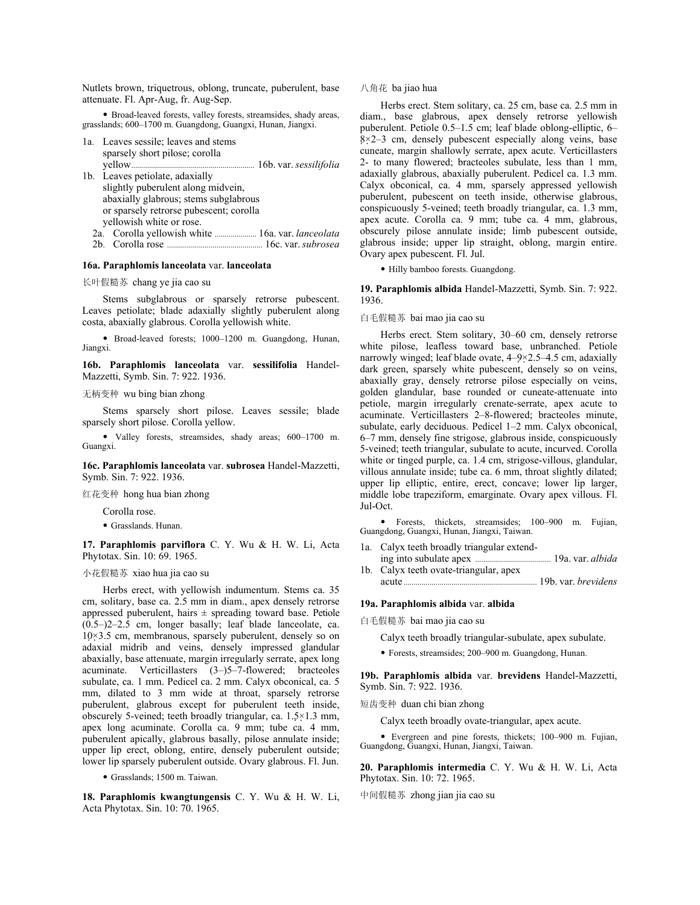Nutlets brown, triquetrous, oblong, truncate, puberulent, base attenuate. Fl. Apr-Aug, fr. Aug-Sep.

• Broad-leaved forests, valley forests, streamsides, shady areas, grasslands; 600–1700 m. Guangdong, Guangxi, Hunan, Jiangxi.

- 1a. Leaves sessile; leaves and stems sparsely short pilose; corolla yellow.............................................................. 16b. var. *sessilifolia*
- 1b. Leaves petiolate, adaxially slightly puberulent along midvein, abaxially glabrous; stems subglabrous or sparsely retrorse pubescent; corolla yellowish white or rose. 2a. Corolla yellowish white ..................... 16a. var. *lanceolata*
	- 2b. Corolla rose ................................................ 16c. var. *subrosea*

# **16a. Paraphlomis lanceolata** var. **lanceolata**

长叶假糙苏 chang ye jia cao su

Stems subglabrous or sparsely retrorse pubescent. Leaves petiolate; blade adaxially slightly puberulent along costa, abaxially glabrous. Corolla yellowish white.

• Broad-leaved forests; 1000–1200 m. Guangdong, Hunan, Jiangxi.

**16b. Paraphlomis lanceolata** var. **sessilifolia** Handel-Mazzetti, Symb. Sin. 7: 922. 1936.

无柄变种 wu bing bian zhong

Stems sparsely short pilose. Leaves sessile; blade sparsely short pilose. Corolla yellow.

• Valley forests, streamsides, shady areas; 600–1700 m. Guangxi.

**16c. Paraphlomis lanceolata** var. **subrosea** Handel-Mazzetti, Symb. Sin. 7: 922. 1936.

红花变种 hong hua bian zhong

Corolla rose.

• Grasslands. Hunan.

**17. Paraphlomis parviflora** C. Y. Wu & H. W. Li, Acta Phytotax. Sin. 10: 69. 1965.

### 小花假糙苏 xiao hua jia cao su

Herbs erect, with yellowish indumentum. Stems ca. 35 cm, solitary, base ca. 2.5 mm in diam., apex densely retrorse appressed puberulent, hairs  $\pm$  spreading toward base. Petiole (0.5–)2–2.5 cm, longer basally; leaf blade lanceolate, ca. 10×3.5 cm, membranous, sparsely puberulent, densely so on adaxial midrib and veins, densely impressed glandular abaxially, base attenuate, margin irregularly serrate, apex long acuminate. Verticillasters (3–)5–7-flowered; bracteoles subulate, ca. 1 mm. Pedicel ca. 2 mm. Calyx obconical, ca. 5 mm, dilated to 3 mm wide at throat, sparsely retrorse puberulent, glabrous except for puberulent teeth inside, obscurely 5-veined; teeth broadly triangular, ca. 1.5×1.3 mm, apex long acuminate. Corolla ca. 9 mm; tube ca. 4 mm, puberulent apically, glabrous basally, pilose annulate inside; upper lip erect, oblong, entire, densely puberulent outside; lower lip sparsely puberulent outside. Ovary glabrous. Fl. Jun.

• Grasslands; 1500 m. Taiwan.

**18. Paraphlomis kwangtungensis** C. Y. Wu & H. W. Li, Acta Phytotax. Sin. 10: 70. 1965.

八角花 ba jiao hua

Herbs erect. Stem solitary, ca. 25 cm, base ca. 2.5 mm in diam., base glabrous, apex densely retrorse yellowish puberulent. Petiole 0.5–1.5 cm; leaf blade oblong-elliptic, 6–  $8\times2-3$  cm, densely pubescent especially along veins, base cuneate, margin shallowly serrate, apex acute. Verticillasters 2- to many flowered; bracteoles subulate, less than 1 mm, adaxially glabrous, abaxially puberulent. Pedicel ca. 1.3 mm. Calyx obconical, ca. 4 mm, sparsely appressed yellowish puberulent, pubescent on teeth inside, otherwise glabrous, conspicuously 5-veined; teeth broadly triangular, ca. 1.3 mm, apex acute. Corolla ca. 9 mm; tube ca. 4 mm, glabrous, obscurely pilose annulate inside; limb pubescent outside, glabrous inside; upper lip straight, oblong, margin entire. Ovary apex pubescent. Fl. Jul.

• Hilly bamboo forests. Guangdong.

**19. Paraphlomis albida** Handel-Mazzetti, Symb. Sin. 7: 922. 1936.

白毛假糙苏 bai mao jia cao su

Herbs erect. Stem solitary, 30–60 cm, densely retrorse white pilose, leafless toward base, unbranched. Petiole narrowly winged; leaf blade ovate, 4–9×2.5–4.5 cm, adaxially dark green, sparsely white pubescent, densely so on veins, abaxially gray, densely retrorse pilose especially on veins, golden glandular, base rounded or cuneate-attenuate into petiole, margin irregularly crenate-serrate, apex acute to acuminate. Verticillasters 2–8-flowered; bracteoles minute, subulate, early deciduous. Pedicel 1–2 mm. Calyx obconical, 6–7 mm, densely fine strigose, glabrous inside, conspicuously 5-veined; teeth triangular, subulate to acute, incurved. Corolla white or tinged purple, ca. 1.4 cm, strigose-villous, glandular, villous annulate inside; tube ca. 6 mm, throat slightly dilated; upper lip elliptic, entire, erect, concave; lower lip larger, middle lobe trapeziform, emarginate. Ovary apex villous. Fl. Jul-Oct.

• Forests, thickets, streamsides; 100–900 m. Fujian, Guangdong, Guangxi, Hunan, Jiangxi, Taiwan.

- 1a. Calyx teeth broadly triangular extend ing into subulate apex ...................................... 19a. var. *albida*
- 1b. Calyx teeth ovate-triangular, apex acute ................................................................... 19b. var. *brevidens*

# **19a. Paraphlomis albida** var. **albida**

白毛假糙苏 bai mao jia cao su

- Calyx teeth broadly triangular-subulate, apex subulate.
- Forests, streamsides; 200–900 m. Guangdong, Hunan.

**19b. Paraphlomis albida** var. **brevidens** Handel-Mazzetti, Symb. Sin. 7: 922. 1936.

短齿变种 duan chi bian zhong

Calyx teeth broadly ovate-triangular, apex acute.

• Evergreen and pine forests, thickets; 100–900 m. Fujian, Guangdong, Guangxi, Hunan, Jiangxi, Taiwan.

**20. Paraphlomis intermedia** C. Y. Wu & H. W. Li, Acta Phytotax. Sin. 10: 72. 1965.

中间假糙苏 zhong jian jia cao su